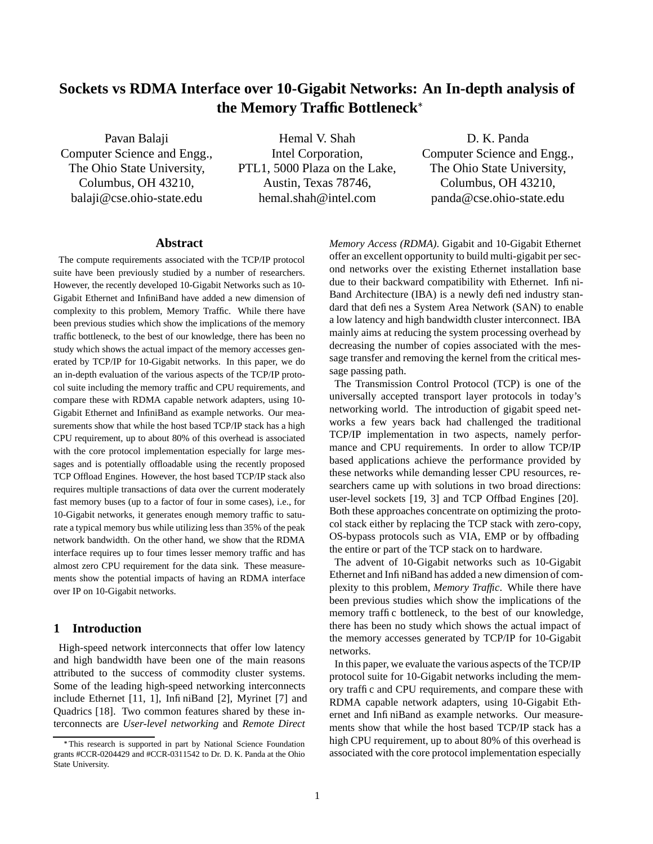# **Sockets vs RDMA Interface over 10-Gigabit Networks: An In-depth analysis of the Memory Traffic Bottleneck**

Pavan Balaji Computer Science and Engg., The Ohio State University, Columbus, OH 43210, balaji@cse.ohio-state.edu

Hemal V. Shah Intel Corporation, PTL1, 5000 Plaza on the Lake, Austin, Texas 78746, hemal.shah@intel.com

D. K. Panda Computer Science and Engg., The Ohio State University, Columbus, OH 43210, panda@cse.ohio-state.edu

## **Abstract**

The compute requirements associated with the TCP/IP protocol suite have been previously studied by a number of researchers. However, the recently developed 10-Gigabit Networks such as 10- Gigabit Ethernet and InfiniBand have added a new dimension of complexity to this problem, Memory Traffic. While there have been previous studies which show the implications of the memory traffic bottleneck, to the best of our knowledge, there has been no study which shows the actual impact of the memory accesses generated by TCP/IP for 10-Gigabit networks. In this paper, we do an in-depth evaluation of the various aspects of the TCP/IP protocol suite including the memory traffic and CPU requirements, and compare these with RDMA capable network adapters, using 10- Gigabit Ethernet and InfiniBand as example networks. Our measurements show that while the host based TCP/IP stack has a high CPU requirement, up to about 80% of this overhead is associated with the core protocol implementation especially for large messages and is potentially offloadable using the recently proposed TCP Offload Engines. However, the host based TCP/IP stack also requires multiple transactions of data over the current moderately fast memory buses (up to a factor of four in some cases), i.e., for 10-Gigabit networks, it generates enough memory traffic to saturate a typical memory bus while utilizing less than 35% of the peak network bandwidth. On the other hand, we show that the RDMA interface requires up to four times lesser memory traffic and has almost zero CPU requirement for the data sink. These measurements show the potential impacts of having an RDMA interface over IP on 10-Gigabit networks.

# **1 Introduction**

High-speed network interconnects that offer low latency and high bandwidth have been one of the main reasons attributed to the success of commodity cluster systems. Some of the leading high-speed networking interconnects include Ethernet [11, 1], InfiniBand [2], Myrinet [7] and Quadrics [18]. Two common features shared by these interconnects are *User-level networking* and *Remote Direct*

*Memory Access (RDMA)*. Gigabit and 10-Gigabit Ethernet offer an excellent opportunity to build multi-gigabit per second networks over the existing Ethernet installation base due to their backward compatibility with Ethernet. Infini-Band Architecture (IBA) is a newly defined industry standard that defines a System Area Network (SAN) to enable a low latency and high bandwidth cluster interconnect. IBA mainly aims at reducing the system processing overhead by decreasing the number of copies associated with the message transfer and removing the kernel from the critical message passing path.

The Transmission Control Protocol (TCP) is one of the universally accepted transport layer protocols in today's networking world. The introduction of gigabit speed networks a few years back had challenged the traditional TCP/IP implementation in two aspects, namely performance and CPU requirements. In order to allow TCP/IP based applications achieve the performance provided by these networks while demanding lesser CPU resources, researchers came up with solutions in two broad directions: user-level sockets [19, 3] and TCP Offbad Engines [20]. Both these approaches concentrate on optimizing the protocol stack either by replacing the TCP stack with zero-copy, OS-bypass protocols such as VIA, EMP or by offloading the entire or part of the TCP stack on to hardware.

The advent of 10-Gigabit networks such as 10-Gigabit Ethernet and InfiniBand has added a new dimension of complexity to this problem, *Memory Traffic*. While there have been previous studies which show the implications of the memory traffic bottleneck, to the best of our knowledge, there has been no study which shows the actual impact of the memory accesses generated by TCP/IP for 10-Gigabit networks.

In this paper, we evaluate the various aspects of the TCP/IP protocol suite for 10-Gigabit networks including the memory traffic and CPU requirements, and compare these with RDMA capable network adapters, using 10-Gigabit Ethernet and InfiniBand as example networks. Our measurements show that while the host based TCP/IP stack has a high CPU requirement, up to about 80% of this overhead is associated with the core protocol implementation especially

This research is supported in part by National Science Foundation grants #CCR-0204429 and #CCR-0311542 to Dr. D. K. Panda at the Ohio State University.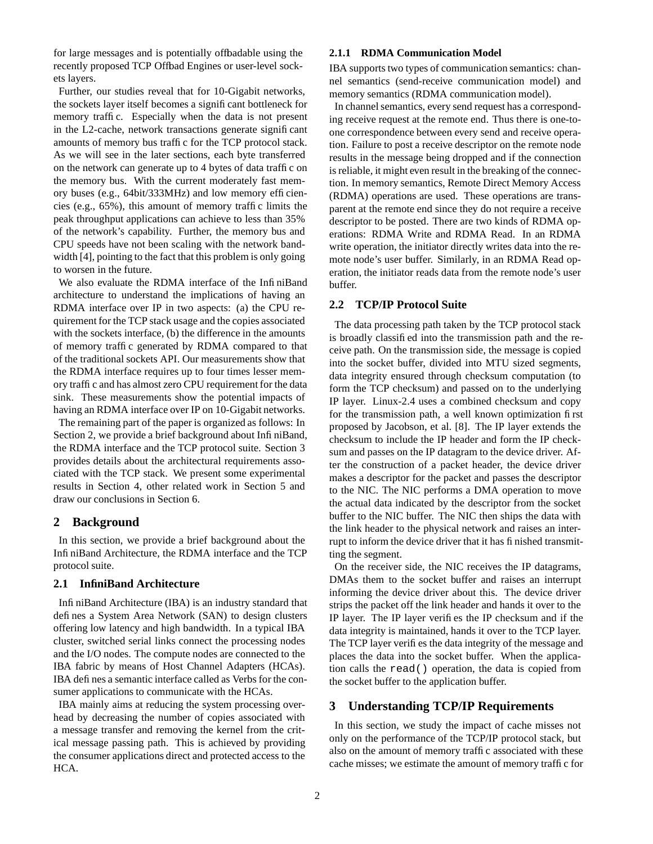for large messages and is potentially offloadable using the recently proposed TCP Offload Engines or user-level sockets layers.

Further, our studies reveal that for 10-Gigabit networks, the sockets layer itself becomes a significant bottleneck for memory traffic. Especially when the data is not present in the L2-cache, network transactions generate significant amounts of memory bus traffic for the TCP protocol stack. As we will see in the later sections, each byte transferred on the network can generate up to 4 bytes of data traffic on the memory bus. With the current moderately fast memory buses (e.g., 64bit/333MHz) and low memory efficiencies (e.g., 65%), this amount of memory traffic limits the peak throughput applications can achieve to less than 35% of the network's capability. Further, the memory bus and CPU speeds have not been scaling with the network bandwidth [4], pointing to the fact that this problem is only going to worsen in the future.

We also evaluate the RDMA interface of the InfiniBand architecture to understand the implications of having an RDMA interface over IP in two aspects: (a) the CPU requirement for the TCP stack usage and the copies associated with the sockets interface, (b) the difference in the amounts of memory traffic generated by RDMA compared to that of the traditional sockets API. Our measurements show that the RDMA interface requires up to four times lesser memory traffic and has almost zero CPU requirement for the data sink. These measurements show the potential impacts of having an RDMA interface over IP on 10-Gigabit networks.

The remaining part of the paper is organized as follows: In Section 2, we provide a brief background about InfiniBand, the RDMA interface and the TCP protocol suite. Section 3 provides details about the architectural requirements associated with the TCP stack. We present some experimental results in Section 4, other related work in Section 5 and draw our conclusions in Section 6.

## **2 Background**

In this section, we provide a brief background about the InfiniBand Architecture, the RDMA interface and the TCP protocol suite.

## **2.1 InfiniBand Architecture**

InfiniBand Architecture (IBA) is an industry standard that defines a System Area Network (SAN) to design clusters offering low latency and high bandwidth. In a typical IBA cluster, switched serial links connect the processing nodes and the I/O nodes. The compute nodes are connected to the IBA fabric by means of Host Channel Adapters (HCAs). IBA defines a semantic interface called as Verbs for the consumer applications to communicate with the HCAs.

IBA mainly aims at reducing the system processing overhead by decreasing the number of copies associated with a message transfer and removing the kernel from the critical message passing path. This is achieved by providing the consumer applications direct and protected access to the HCA.

### **2.1.1 RDMA Communication Model**

IBA supports two types of communication semantics: channel semantics (send-receive communication model) and memory semantics (RDMA communication model).

In channel semantics, every send request has a corresponding receive request at the remote end. Thus there is one-toone correspondence between every send and receive operation. Failure to post a receive descriptor on the remote node results in the message being dropped and if the connection is reliable, it might even result in the breaking of the connection. In memory semantics, Remote Direct Memory Access (RDMA) operations are used. These operations are transparent at the remote end since they do not require a receive descriptor to be posted. There are two kinds of RDMA operations: RDMA Write and RDMA Read. In an RDMA write operation, the initiator directly writes data into the remote node's user buffer. Similarly, in an RDMA Read operation, the initiator reads data from the remote node's user buffer.

## **2.2 TCP/IP Protocol Suite**

The data processing path taken by the TCP protocol stack is broadly classified into the transmission path and the receive path. On the transmission side, the message is copied into the socket buffer, divided into MTU sized segments, data integrity ensured through checksum computation (to form the TCP checksum) and passed on to the underlying IP layer. Linux-2.4 uses a combined checksum and copy for the transmission path, a well known optimization first proposed by Jacobson, et al. [8]. The IP layer extends the checksum to include the IP header and form the IP checksum and passes on the IP datagram to the device driver. After the construction of a packet header, the device driver makes a descriptor for the packet and passes the descriptor to the NIC. The NIC performs a DMA operation to move the actual data indicated by the descriptor from the socket buffer to the NIC buffer. The NIC then ships the data with the link header to the physical network and raises an interrupt to inform the device driver that it has finished transmitting the segment.

On the receiver side, the NIC receives the IP datagrams, DMAs them to the socket buffer and raises an interrupt informing the device driver about this. The device driver strips the packet off the link header and hands it over to the IP layer. The IP layer verifies the IP checksum and if the data integrity is maintained, hands it over to the TCP layer. The TCP layer verifies the data integrity of the message and places the data into the socket buffer. When the application calls the read() operation, the data is copied from the socket buffer to the application buffer.

## **3 Understanding TCP/IP Requirements**

In this section, we study the impact of cache misses not only on the performance of the TCP/IP protocol stack, but also on the amount of memory traffic associated with these cache misses; we estimate the amount of memory traffic for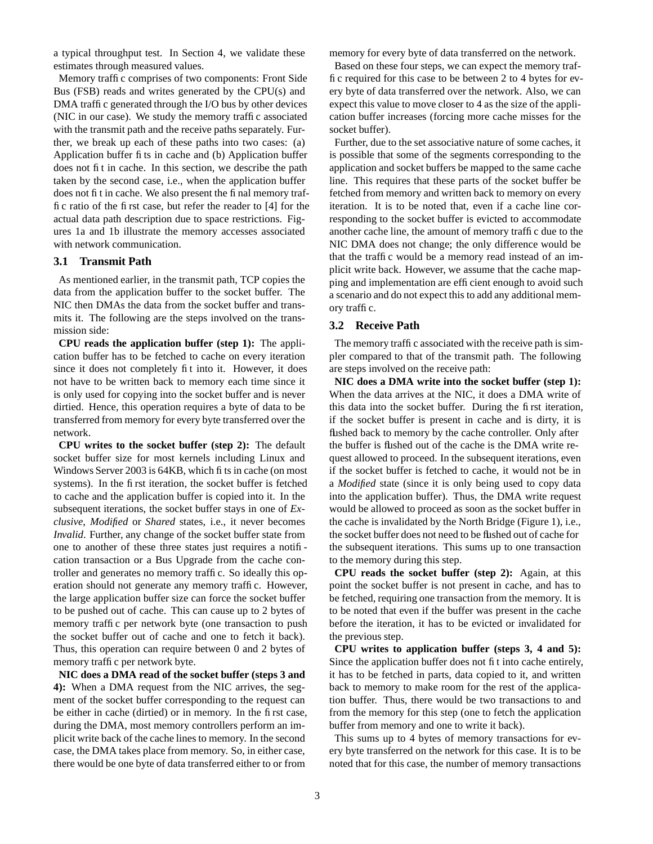a typical throughput test. In Section 4, we validate these estimates through measured values.

Memory traffic comprises of two components: Front Side Bus (FSB) reads and writes generated by the CPU(s) and DMA traffic generated through the I/O bus by other devices (NIC in our case). We study the memory traffic associated with the transmit path and the receive paths separately. Further, we break up each of these paths into two cases: (a) Application buffer fits in cache and (b) Application buffer does not fit in cache. In this section, we describe the path taken by the second case, i.e., when the application buffer does not fit in cache. We also present the final memory traffic ratio of the first case, but refer the reader to [4] for the actual data path description due to space restrictions. Figures 1a and 1b illustrate the memory accesses associated with network communication.

#### **3.1 Transmit Path**

As mentioned earlier, in the transmit path, TCP copies the data from the application buffer to the socket buffer. The NIC then DMAs the data from the socket buffer and transmits it. The following are the steps involved on the transmission side:

**CPU reads the application buffer (step 1):** The application buffer has to be fetched to cache on every iteration since it does not completely fit into it. However, it does not have to be written back to memory each time since it is only used for copying into the socket buffer and is never dirtied. Hence, this operation requires a byte of data to be transferred from memory for every byte transferred over the network.

**CPU writes to the socket buffer (step 2):** The default socket buffer size for most kernels including Linux and Windows Server 2003 is 64KB, which fits in cache (on most systems). In the first iteration, the socket buffer is fetched to cache and the application buffer is copied into it. In the subsequent iterations, the socket buffer stays in one of *Exclusive*, *Modified* or *Shared* states, i.e., it never becomes *Invalid*. Further, any change of the socket buffer state from one to another of these three states just requires a notification transaction or a Bus Upgrade from the cache controller and generates no memory traffic. So ideally this operation should not generate any memory traffic. However, the large application buffer size can force the socket buffer to be pushed out of cache. This can cause up to 2 bytes of memory traffic per network byte (one transaction to push the socket buffer out of cache and one to fetch it back). Thus, this operation can require between 0 and 2 bytes of memory traffic per network byte.

**NIC does a DMA read of the socket buffer (steps 3 and 4):** When a DMA request from the NIC arrives, the segment of the socket buffer corresponding to the request can be either in cache (dirtied) or in memory. In the first case, during the DMA, most memory controllers perform an implicit write back of the cache lines to memory. In the second case, the DMA takes place from memory. So, in either case, there would be one byte of data transferred either to or from

memory for every byte of data transferred on the network.

Based on these four steps, we can expect the memory traffic required for this case to be between 2 to 4 bytes for every byte of data transferred over the network. Also, we can expect this value to move closer to 4 as the size of the application buffer increases (forcing more cache misses for the socket buffer).

Further, due to the set associative nature of some caches, it is possible that some of the segments corresponding to the application and socket buffers be mapped to the same cache line. This requires that these parts of the socket buffer be fetched from memory and written back to memory on every iteration. It is to be noted that, even if a cache line corresponding to the socket buffer is evicted to accommodate another cache line, the amount of memory traffic due to the NIC DMA does not change; the only difference would be that the traffic would be a memory read instead of an implicit write back. However, we assume that the cache mapping and implementation are efficient enough to avoid such a scenario and do not expect this to add any additional memory traffic.

#### **3.2 Receive Path**

The memory traffic associated with the receive path is simpler compared to that of the transmit path. The following are steps involved on the receive path:

**NIC does a DMA write into the socket buffer (step 1):** When the data arrives at the NIC, it does a DMA write of this data into the socket buffer. During the first iteration, if the socket buffer is present in cache and is dirty, it is flushed back to memory by the cache controller. Only after the buffer is flushed out of the cache is the DMA write request allowed to proceed. In the subsequent iterations, even if the socket buffer is fetched to cache, it would not be in a *Modified* state (since it is only being used to copy data into the application buffer). Thus, the DMA write request would be allowed to proceed as soon as the socket buffer in the cache is invalidated by the North Bridge (Figure 1), i.e., the socket buffer does not need to be flushed out of cache for the subsequent iterations. This sums up to one transaction to the memory during this step.

**CPU reads the socket buffer (step 2):** Again, at this point the socket buffer is not present in cache, and has to be fetched, requiring one transaction from the memory. It is to be noted that even if the buffer was present in the cache before the iteration, it has to be evicted or invalidated for the previous step.

**CPU writes to application buffer (steps 3, 4 and 5):** Since the application buffer does not fit into cache entirely, it has to be fetched in parts, data copied to it, and written back to memory to make room for the rest of the application buffer. Thus, there would be two transactions to and from the memory for this step (one to fetch the application buffer from memory and one to write it back).

This sums up to 4 bytes of memory transactions for every byte transferred on the network for this case. It is to be noted that for this case, the number of memory transactions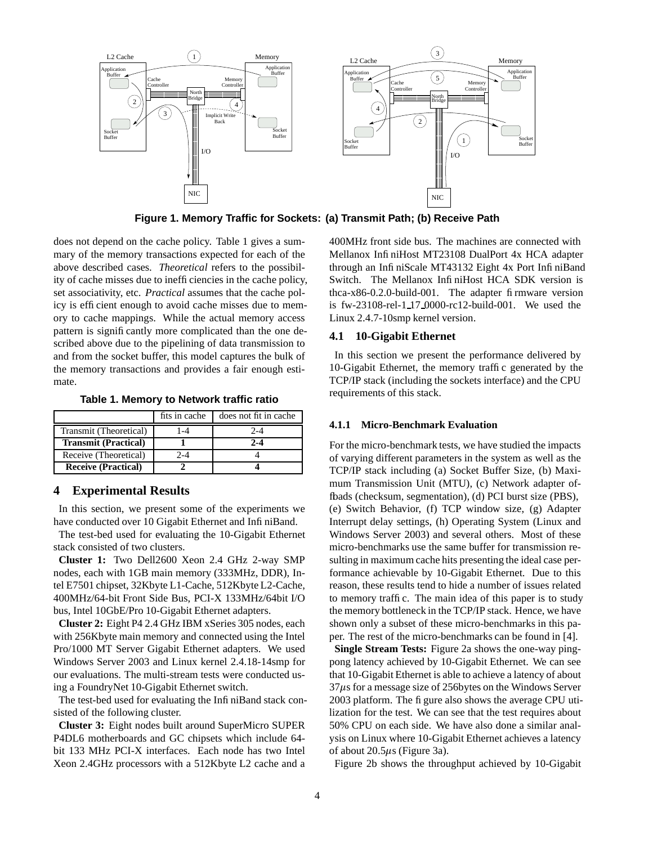

**Figure 1. Memory Traffic for Sockets: (a) Transmit Path; (b) Receive Path**

does not depend on the cache policy. Table 1 gives a summary of the memory transactions expected for each of the above described cases. *Theoretical* refers to the possibility of cache misses due to inefficiencies in the cache policy, set associativity, etc. *Practical* assumes that the cache policy is efficient enough to avoid cache misses due to memory to cache mappings. While the actual memory access pattern is significantly more complicated than the one described above due to the pipelining of data transmission to and from the socket buffer, this model captures the bulk of the memory transactions and provides a fair enough estimate.

**Table 1. Memory to Network traffic ratio**

|                             | fits in cache | does not fit in cache |
|-----------------------------|---------------|-----------------------|
| Transmit (Theoretical)      | 1-4           | 2-4                   |
| <b>Transmit (Practical)</b> |               | $2 - 4$               |
| Receive (Theoretical)       | 2-4           |                       |
| <b>Receive (Practical)</b>  |               |                       |

## **4 Experimental Results**

In this section, we present some of the experiments we have conducted over 10 Gigabit Ethernet and Infi niBand.

The test-bed used for evaluating the 10-Gigabit Ethernet stack consisted of two clusters.

**Cluster 1:** Two Dell2600 Xeon 2.4 GHz 2-way SMP nodes, each with 1GB main memory (333MHz, DDR), Intel E7501 chipset, 32Kbyte L1-Cache, 512Kbyte L2-Cache, 400MHz/64-bit Front Side Bus, PCI-X 133MHz/64bit I/O bus, Intel 10GbE/Pro 10-Gigabit Ethernet adapters.

**Cluster 2:** Eight P4 2.4 GHz IBM xSeries 305 nodes, each with 256Kbyte main memory and connected using the Intel Pro/1000 MT Server Gigabit Ethernet adapters. We used Windows Server 2003 and Linux kernel 2.4.18-14smp for our evaluations. The multi-stream tests were conducted using a FoundryNet 10-Gigabit Ethernet switch.

The test-bed used for evaluating the InfiniBand stack consisted of the following cluster.

**Cluster 3:** Eight nodes built around SuperMicro SUPER P4DL6 motherboards and GC chipsets which include 64 bit 133 MHz PCI-X interfaces. Each node has two Intel Xeon 2.4GHz processors with a 512Kbyte L2 cache and a 400MHz front side bus. The machines are connected with Mellanox InfiniHost MT23108 DualPort 4x HCA adapter through an InfiniScale MT43132 Eight 4x Port InfiniBand Switch. The Mellanox InfiniHost HCA SDK version is thca-x86-0.2.0-build-001. The adapter firmware version is fw-23108-rel-1 17 0000-rc12-build-001. We used the Linux 2.4.7-10smp kernel version.

#### **4.1 10-Gigabit Ethernet**

In this section we present the performance delivered by 10-Gigabit Ethernet, the memory traffic generated by the TCP/IP stack (including the sockets interface) and the CPU requirements of this stack.

#### **4.1.1 Micro-Benchmark Evaluation**

For the micro-benchmark tests, we have studied the impacts of varying different parameters in the system as well as the TCP/IP stack including (a) Socket Buffer Size, (b) Maximum Transmission Unit (MTU), (c) Network adapter offbads (checksum, segmentation), (d) PCI burst size (PBS), (e) Switch Behavior, (f) TCP window size, (g) Adapter Interrupt delay settings, (h) Operating System (Linux and Windows Server 2003) and several others. Most of these micro-benchmarks use the same buffer for transmission resulting in maximum cache hits presenting the ideal case performance achievable by 10-Gigabit Ethernet. Due to this reason, these results tend to hide a number of issues related to memory traffic. The main idea of this paper is to study the memory bottleneck in the TCP/IP stack. Hence, we have shown only a subset of these micro-benchmarks in this paper. The rest of the micro-benchmarks can be found in [4].

**Single Stream Tests:** Figure 2a shows the one-way pingpong latency achieved by 10-Gigabit Ethernet. We can see that 10-Gigabit Ethernet is able to achieve a latency of about  $37\mu s$  for a message size of 256bytes on the Windows Server 2003 platform. The figure also shows the average CPU utilization for the test. We can see that the test requires about 50% CPU on each side. We have also done a similar analysis on Linux where 10-Gigabit Ethernet achieves a latency of about  $20.5\mu s$  (Figure 3a).

Figure 2b shows the throughput achieved by 10-Gigabit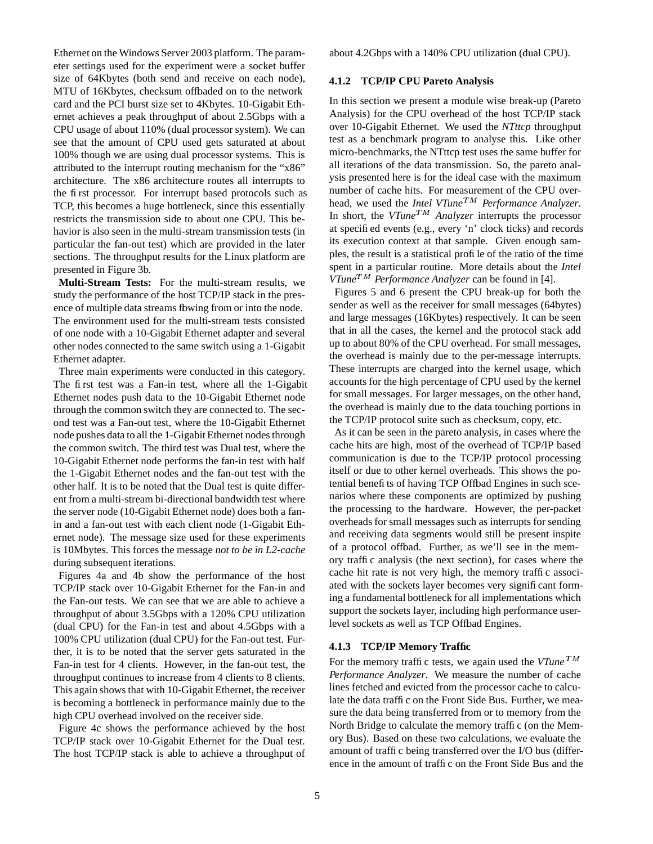Ethernet on the Windows Server 2003 platform. The parameter settings used for the experiment were a socket buffer size of 64Kbytes (both send and receive on each node), MTU of 16Kbytes, checksum offloaded on to the network card and the PCI burst size set to 4Kbytes. 10-Gigabit Ethernet achieves a peak throughput of about 2.5Gbps with a CPU usage of about 110% (dual processor system). We can see that the amount of CPU used gets saturated at about 100% though we are using dual processor systems. This is attributed to the interrupt routing mechanism for the "x86" architecture. The x86 architecture routes all interrupts to the first processor. For interrupt based protocols such as TCP, this becomes a huge bottleneck, since this essentially restricts the transmission side to about one CPU. This behavior is also seen in the multi-stream transmission tests (in particular the fan-out test) which are provided in the later sections. The throughput results for the Linux platform are presented in Figure 3b.

**Multi-Stream Tests:** For the multi-stream results, we study the performance of the host TCP/IP stack in the presence of multiple data streams fbwing from or into the node. The environment used for the multi-stream tests consisted of one node with a 10-Gigabit Ethernet adapter and several other nodes connected to the same switch using a 1-Gigabit Ethernet adapter.

Three main experiments were conducted in this category. The first test was a Fan-in test, where all the 1-Gigabit Ethernet nodes push data to the 10-Gigabit Ethernet node through the common switch they are connected to. The second test was a Fan-out test, where the 10-Gigabit Ethernet node pushes data to all the 1-Gigabit Ethernet nodes through the common switch. The third test was Dual test, where the 10-Gigabit Ethernet node performs the fan-in test with half the 1-Gigabit Ethernet nodes and the fan-out test with the other half. It is to be noted that the Dual test is quite different from a multi-stream bi-directional bandwidth test where the server node (10-Gigabit Ethernet node) does both a fanin and a fan-out test with each client node (1-Gigabit Ethernet node). The message size used for these experiments is 10Mbytes. This forces the message *not to be in L2-cache* during subsequent iterations.

Figures 4a and 4b show the performance of the host TCP/IP stack over 10-Gigabit Ethernet for the Fan-in and the Fan-out tests. We can see that we are able to achieve a throughput of about 3.5Gbps with a 120% CPU utilization (dual CPU) for the Fan-in test and about 4.5Gbps with a 100% CPU utilization (dual CPU) for the Fan-out test. Further, it is to be noted that the server gets saturated in the Fan-in test for 4 clients. However, in the fan-out test, the throughput continues to increase from 4 clients to 8 clients. This again shows that with 10-Gigabit Ethernet, the receiver is becoming a bottleneck in performance mainly due to the high CPU overhead involved on the receiver side.

Figure 4c shows the performance achieved by the host TCP/IP stack over 10-Gigabit Ethernet for the Dual test. The host TCP/IP stack is able to achieve a throughput of about 4.2Gbps with a 140% CPU utilization (dual CPU).

#### **4.1.2 TCP/IP CPU Pareto Analysis**

In this section we present a module wise break-up (Pareto Analysis) for the CPU overhead of the host TCP/IP stack over 10-Gigabit Ethernet. We used the *NTttcp* throughput test as a benchmark program to analyse this. Like other micro-benchmarks, the NTttcp test uses the same buffer for all iterations of the data transmission. So, the pareto analysis presented here is for the ideal case with the maximum number of cache hits. For measurement of the CPU overhead, we used the *Intel VTune*<sup>TM</sup> Performance Analyzer. In short, the  $VTune^{TM}$  *Analyzer* interrupts the processor at specified events (e.g., every 'n' clock ticks) and records its execution context at that sample. Given enough samples, the result is a statistical profile of the ratio of the time spent in a particular routine. More details about the *Intel VTune<sup>TM</sup>* Performance Analyzer can be found in [4].

Figures 5 and 6 present the CPU break-up for both the sender as well as the receiver for small messages (64bytes) and large messages (16Kbytes) respectively. It can be seen that in all the cases, the kernel and the protocol stack add up to about 80% of the CPU overhead. For small messages, the overhead is mainly due to the per-message interrupts. These interrupts are charged into the kernel usage, which accounts for the high percentage of CPU used by the kernel for small messages. For larger messages, on the other hand, the overhead is mainly due to the data touching portions in the TCP/IP protocol suite such as checksum, copy, etc.

As it can be seen in the pareto analysis, in cases where the cache hits are high, most of the overhead of TCP/IP based communication is due to the TCP/IP protocol processing itself or due to other kernel overheads. This shows the potential benefits of having TCP Offload Engines in such scenarios where these components are optimized by pushing the processing to the hardware. However, the per-packet overheads for small messages such as interrupts for sending and receiving data segments would still be present inspite of a protocol offload. Further, as we'll see in the memory traffic analysis (the next section), for cases where the cache hit rate is not very high, the memory traffic associated with the sockets layer becomes very significant forming a fundamental bottleneck for all implementations which support the sockets layer, including high performance userlevel sockets as well as TCP Offbad Engines.

#### **4.1.3 TCP/IP Memory Traffic**

For the memory traffic tests, we again used the  $VTune^{TM}$ *Performance Analyzer*. We measure the number of cache lines fetched and evicted from the processor cache to calculate the data traffic on the Front Side Bus. Further, we measure the data being transferred from or to memory from the North Bridge to calculate the memory traffic (on the Memory Bus). Based on these two calculations, we evaluate the amount of traffic being transferred over the I/O bus (difference in the amount of traffic on the Front Side Bus and the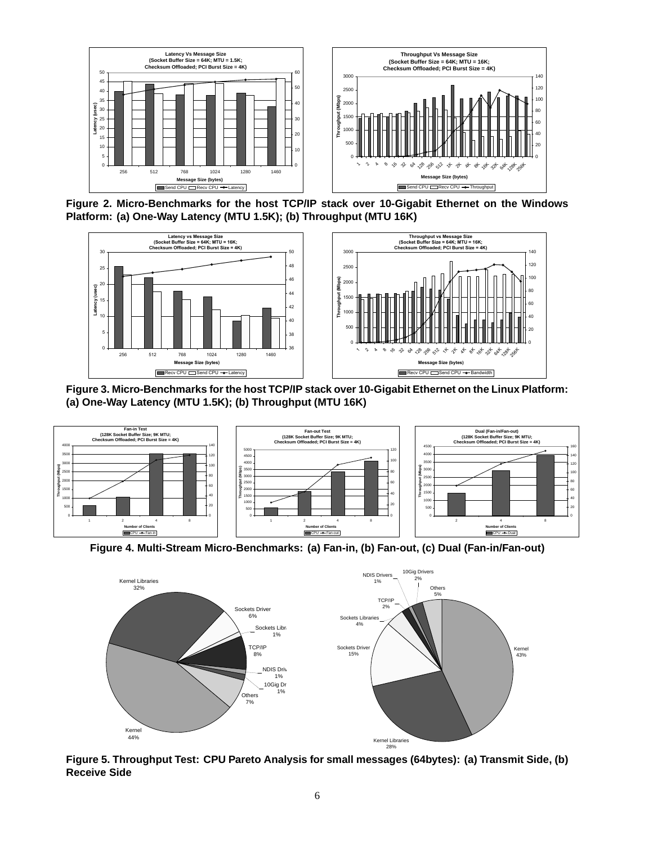

**Figure 2. Micro-Benchmarks for the host TCP/IP stack over 10-Gigabit Ethernet on the Windows Platform: (a) One-Way Latency (MTU 1.5K); (b) Throughput (MTU 16K)**



**Figure 3. Micro-Benchmarks for the host TCP/IP stack over 10-Gigabit Ethernet on the Linux Platform: (a) One-Way Latency (MTU 1.5K); (b) Throughput (MTU 16K)**



**Figure 4. Multi-Stream Micro-Benchmarks: (a) Fan-in, (b) Fan-out, (c) Dual (Fan-in/Fan-out)**



**Figure 5. Throughput Test: CPU Pareto Analysis for small messages (64bytes): (a) Transmit Side, (b) Receive Side**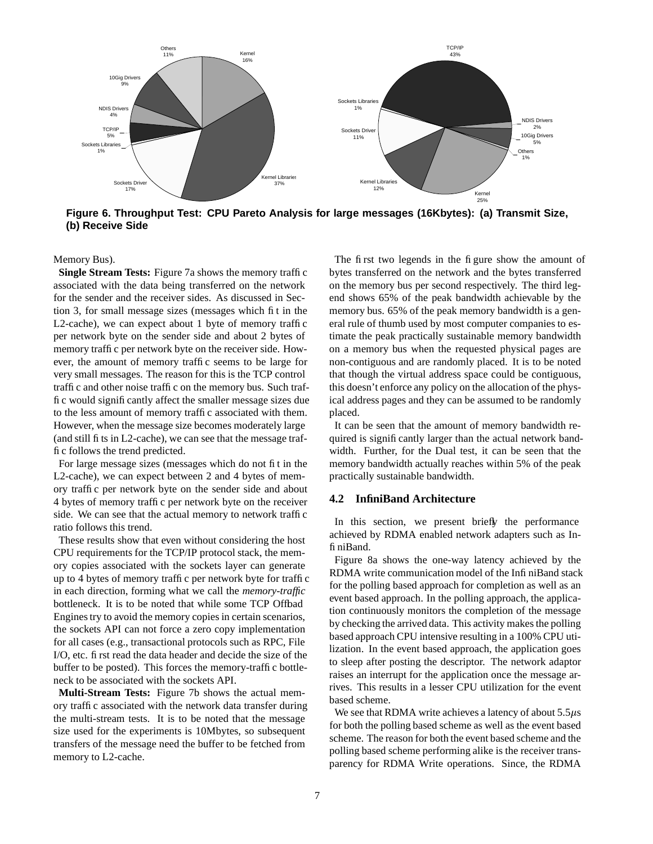

**Figure 6. Throughput Test: CPU Pareto Analysis for large messages (16Kbytes): (a) Transmit Size, (b) Receive Side**

Memory Bus).

**Single Stream Tests:** Figure 7a shows the memory traffic associated with the data being transferred on the network for the sender and the receiver sides. As discussed in Section 3, for small message sizes (messages which fit in the L2-cache), we can expect about 1 byte of memory traffic per network byte on the sender side and about 2 bytes of memory traffic per network byte on the receiver side. However, the amount of memory traffic seems to be large for very small messages. The reason for this is the TCP control traffic and other noise traffic on the memory bus. Such traffic would significantly affect the smaller message sizes due to the less amount of memory traffic associated with them. However, when the message size becomes moderately large (and still fits in L2-cache), we can see that the message traffic follows the trend predicted.

For large message sizes (messages which do not fit in the L2-cache), we can expect between 2 and 4 bytes of memory traffic per network byte on the sender side and about 4 bytes of memory traffic per network byte on the receiver side. We can see that the actual memory to network traffic ratio follows this trend.

These results show that even without considering the host CPU requirements for the TCP/IP protocol stack, the memory copies associated with the sockets layer can generate up to 4 bytes of memory traffic per network byte for traffic in each direction, forming what we call the *memory-traffic* bottleneck. It is to be noted that while some TCP Offbad Engines try to avoid the memory copies in certain scenarios, the sockets API can not force a zero copy implementation for all cases (e.g., transactional protocols such as RPC, File I/O, etc. first read the data header and decide the size of the buffer to be posted). This forces the memory-traffic bottleneck to be associated with the sockets API.

**Multi-Stream Tests:** Figure 7b shows the actual memory traffic associated with the network data transfer during the multi-stream tests. It is to be noted that the message size used for the experiments is 10Mbytes, so subsequent transfers of the message need the buffer to be fetched from memory to L2-cache.

The first two legends in the figure show the amount of bytes transferred on the network and the bytes transferred on the memory bus per second respectively. The third legend shows 65% of the peak bandwidth achievable by the memory bus. 65% of the peak memory bandwidth is a general rule of thumb used by most computer companies to estimate the peak practically sustainable memory bandwidth on a memory bus when the requested physical pages are non-contiguous and are randomly placed. It is to be noted that though the virtual address space could be contiguous, this doesn't enforce any policy on the allocation of the physical address pages and they can be assumed to be randomly placed.

It can be seen that the amount of memory bandwidth required is significantly larger than the actual network bandwidth. Further, for the Dual test, it can be seen that the memory bandwidth actually reaches within 5% of the peak practically sustainable bandwidth.

## **4.2 InfiniBand Architecture**

In this section, we present briefly the performance achieved by RDMA enabled network adapters such as InfiniBand.

Figure 8a shows the one-way latency achieved by the RDMA write communication model of the InfiniBand stack for the polling based approach for completion as well as an event based approach. In the polling approach, the application continuously monitors the completion of the message by checking the arrived data. This activity makes the polling based approach CPU intensive resulting in a 100% CPU utilization. In the event based approach, the application goes to sleep after posting the descriptor. The network adaptor raises an interrupt for the application once the message arrives. This results in a lesser CPU utilization for the event based scheme.

We see that RDMA write achieves a latency of about  $5.5\mu s$ for both the polling based scheme as well as the event based scheme. The reason for both the event based scheme and the polling based scheme performing alike is the receiver transparency for RDMA Write operations. Since, the RDMA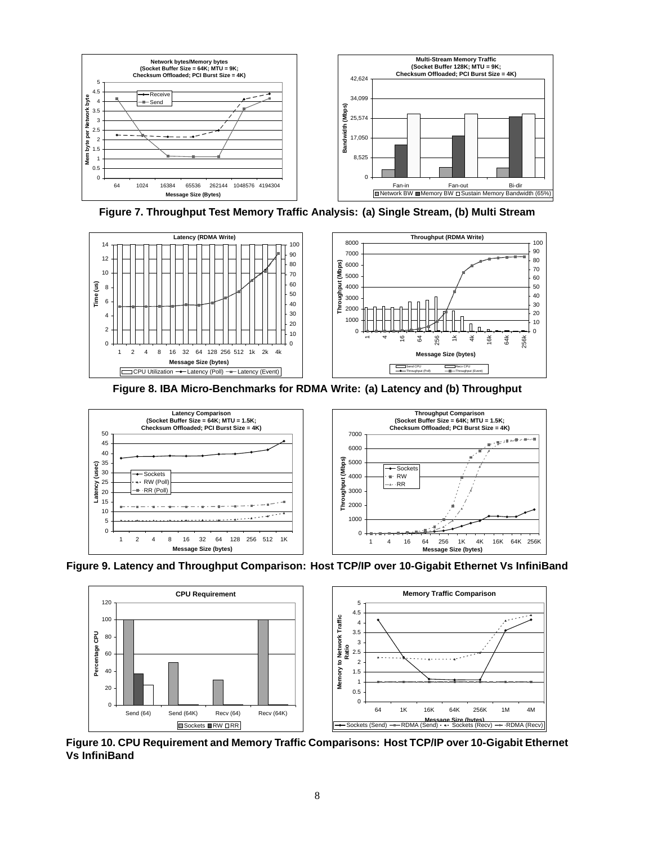





**Figure 8. IBA Micro-Benchmarks for RDMA Write: (a) Latency and (b) Throughput**



**Figure 9. Latency and Throughput Comparison: Host TCP/IP over 10-Gigabit Ethernet Vs InfiniBand**



**Figure 10. CPU Requirement and Memory Traffic Comparisons: Host TCP/IP over 10-Gigabit Ethernet Vs InfiniBand**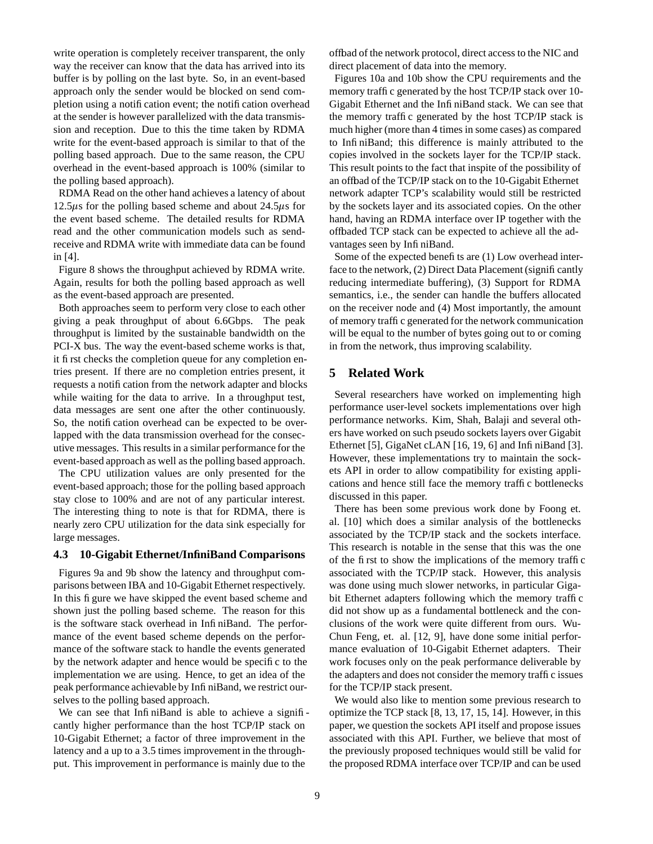write operation is completely receiver transparent, the only way the receiver can know that the data has arrived into its buffer is by polling on the last byte. So, in an event-based approach only the sender would be blocked on send completion using a notification event; the notification overhead at the sender is however parallelized with the data transmission and reception. Due to this the time taken by RDMA write for the event-based approach is similar to that of the polling based approach. Due to the same reason, the CPU overhead in the event-based approach is 100% (similar to the polling based approach).

RDMA Read on the other hand achieves a latency of about  $12.5\mu s$  for the polling based scheme and about  $24.5\mu s$  for the event based scheme. The detailed results for RDMA read and the other communication models such as sendreceive and RDMA write with immediate data can be found in [4].

Figure 8 shows the throughput achieved by RDMA write. Again, results for both the polling based approach as well as the event-based approach are presented.

Both approaches seem to perform very close to each other giving a peak throughput of about 6.6Gbps. The peak throughput is limited by the sustainable bandwidth on the PCI-X bus. The way the event-based scheme works is that, it first checks the completion queue for any completion entries present. If there are no completion entries present, it requests a notification from the network adapter and blocks while waiting for the data to arrive. In a throughput test, data messages are sent one after the other continuously. So, the notification overhead can be expected to be overlapped with the data transmission overhead for the consecutive messages. This results in a similar performance for the event-based approach as well as the polling based approach.

The CPU utilization values are only presented for the event-based approach; those for the polling based approach stay close to 100% and are not of any particular interest. The interesting thing to note is that for RDMA, there is nearly zero CPU utilization for the data sink especially for large messages.

#### **4.3 10-Gigabit Ethernet/InfiniBand Comparisons**

Figures 9a and 9b show the latency and throughput comparisons between IBA and 10-Gigabit Ethernet respectively. In this figure we have skipped the event based scheme and shown just the polling based scheme. The reason for this is the software stack overhead in InfiniBand. The performance of the event based scheme depends on the performance of the software stack to handle the events generated by the network adapter and hence would be specific to the implementation we are using. Hence, to get an idea of the peak performance achievable by InfiniBand, we restrict ourselves to the polling based approach.

We can see that InfiniBand is able to achieve a significantly higher performance than the host TCP/IP stack on 10-Gigabit Ethernet; a factor of three improvement in the latency and a up to a 3.5 times improvement in the throughput. This improvement in performance is mainly due to the

offload of the network protocol, direct access to the NIC and direct placement of data into the memory.

Figures 10a and 10b show the CPU requirements and the memory traffic generated by the host TCP/IP stack over 10-Gigabit Ethernet and the InfiniBand stack. We can see that the memory traffic generated by the host TCP/IP stack is much higher (more than 4 times in some cases) as compared to InfiniBand; this difference is mainly attributed to the copies involved in the sockets layer for the TCP/IP stack. This result points to the fact that inspite of the possibility of an offload of the TCP/IP stack on to the 10-Gigabit Ethernet network adapter TCP's scalability would still be restricted by the sockets layer and its associated copies. On the other hand, having an RDMA interface over IP together with the offloaded TCP stack can be expected to achieve all the advantages seen by Infi niBand.

Some of the expected benefits are (1) Low overhead interface to the network, (2) Direct Data Placement (significantly reducing intermediate buffering), (3) Support for RDMA semantics, i.e., the sender can handle the buffers allocated on the receiver node and (4) Most importantly, the amount of memory traffic generated for the network communication will be equal to the number of bytes going out to or coming in from the network, thus improving scalability.

### **5 Related Work**

Several researchers have worked on implementing high performance user-level sockets implementations over high performance networks. Kim, Shah, Balaji and several others have worked on such pseudo sockets layers over Gigabit Ethernet [5], GigaNet cLAN [16, 19, 6] and Infi niBand [3]. However, these implementations try to maintain the sockets API in order to allow compatibility for existing applications and hence still face the memory traffic bottlenecks discussed in this paper.

There has been some previous work done by Foong et. al. [10] which does a similar analysis of the bottlenecks associated by the TCP/IP stack and the sockets interface. This research is notable in the sense that this was the one of the first to show the implications of the memory traffic associated with the TCP/IP stack. However, this analysis was done using much slower networks, in particular Gigabit Ethernet adapters following which the memory traffic did not show up as a fundamental bottleneck and the conclusions of the work were quite different from ours. Wu-Chun Feng, et. al. [12, 9], have done some initial performance evaluation of 10-Gigabit Ethernet adapters. Their work focuses only on the peak performance deliverable by the adapters and does not consider the memory traffic issues for the TCP/IP stack present.

We would also like to mention some previous research to optimize the TCP stack [8, 13, 17, 15, 14]. However, in this paper, we question the sockets API itself and propose issues associated with this API. Further, we believe that most of the previously proposed techniques would still be valid for the proposed RDMA interface over TCP/IP and can be used